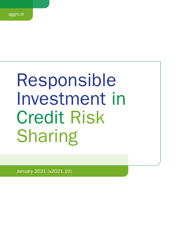# Responsible Investment in Credit Risk Sharing

January 2021 (v2021.10)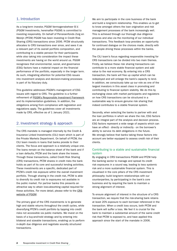# 1. Introduction

As a long-term investor, PGGM Vermogensbeheer B.V. (PGGM Investments, hereinafter PGGM) is committed to investing responsibly. On behalf of Pensioenfonds Zorg en Welzijn (PFZW) PGGM has been investing in Credit Risk Sharing (CRS) transactions since 2006. PFZW structurally allocates to CRS transactions ever since, and sees it as a relevant part of its overall portfolio composition, and contributing to a stable pension for their participants while also taking into consideration the impact these investments are having on the world around us. PGGM recognises that environmental, social, and governance (ESG) factors have a material impact on the financial performance of the portfolio, especially in the longer term. As such, integrating attention for potential ESG issues into investment analysis and decision-making processes is part of its fiduciary duty.

This guideline addresses PGGM's management of ESG issues with regard to CRS. The guideline is a further refinement of [PGGM's Responsible Investment Framework](https://www.pggm.nl/media/f4zoxray/responsible-investment-implementation-framework_pggm.pdf) and its implementation guidelines. In addition, the obligations arising from compliance with legislation and regulations apply. The guidelines cover all investments made by CRS, effective as of 1 January 2021.

# 2. Investment strategy & approach

The CRS mandate is managed internally by the Credit & Insurance Linked Investments (CILI) team which is part of the Private Markets Department. On behalf of PFZW, the CILI team invests in loans that banks provide to their clients. The focus and approach is a relatively unique one. The loans remain on the balance sheet of the bank and if a loan defaults, PFZW and the bank share the losses. Through these transactions, called Credit Risk Sharing (CRS) transactions, PFZW shares in credit risks the bank holds as part of its core and successful lending activities. These investments are a specific, dedicated part of PFZW's credit risk exposure within the overall investment portfolio. Through sharing in the credit risk, PFZW is able to diversify its credit risk to exposures not available in the public market. For partner banks this presents an attractive way to attain loss-absorbing capital required for these activities. For more detail, please refer to the [CRS](https://www.pggm.nl/en/our-services/credit-risk-sharing/) [website of PGGM.](https://www.pggm.nl/en/our-services/credit-risk-sharing/)

The primary goal of the CRS investments is to generate high and stable returns throughout the credit cycles, while diversifying PFZW's credit portfolio by tapping into credit risks not accessible via public markets. We invest on the basis of a buy-and-hold strategy and by entering into bilateral and sizeable transactions, enabling us to perform in-depth due diligence and negotiate soundly structured transactions.

We aim to participate in the core business of the bank and build a long-term relationship. This enables us to get to know amongst others the loan origination and risk management processes of the bank increasingly well. This is achieved through our thorough due diligence process and also via the monitoring of our individual transactions. This feedback loop provides an opportunity for continued dialogue on the choices made, directly with the people driving these processes within the banks.

The CILI team's focus regarding responsible investing for CRS transactions can be divided into two main themes. Firstly, we believe these risk sharing transactions can contribute to a more stable financial system and add value to the real economy. By entering into a CRS transaction, the bank will free up capital which can be redeployed and will enlarge the bank's capacity to lend. In addition, we consciously take up our role as one of the largest investors in this asset class in promoting and contributing to financial system stability. We do this by exchanging views with market participants and regulators on how CRS transactions can be structured in a sustainable way to ensure genuine risk sharing that indeed contributes to a stable financial system.

Secondly, when selecting the banks to partner with and the loan portfolios in which we share the risk, ESG factors are an integral part of the analysis and decision process. ESG factors represent a wide range of aspects which can have an effect - directly or indirectly - on the borrower's ability to service its debt obligations in the future. We strongly believe that banks taking these factors into account are better equipped to assess credit risk of their clients.

## Contributing to a stable and sustainable financial system

By engaging in CRS transactions PGGM and PFZW help the banking sector to manage and spread its credit risk exposures in a sound way, leading to less systemic risk and a more sustainable financial system. This is visualised in the core pillars of the CRS investment philosophy: build long-term relationships with our counterparties, by participating in the bank's core business and by requiring the bank to maintain a strong alignment of interest.

To ensure alignment of interest in the structure of a CRS transaction, we require that the risk-sharing bank retains at least 20% exposure to each borrower referenced in the transaction. When a credit loss occurs, both PFZW and the bank will suffer a loss. We feel it is crucial for the bank to maintain a substantial amount of the same credit risk that PFZW is exposed to, and have applied this approach since the start of the mandate in 2006.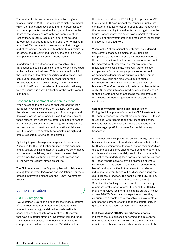The merits of this has been re-enforced by the global financial crisis of 2008. The originate-to-distribute model which the market had developed into for certain types of structured products, has significantly contributed to the depth of the crisis, and arguably has been one of the root-causes. In 2013, regulation in both the US and Europe has changed to require the originator to maintain a minimal 5% risk retention. We welcome that change and at the same time continue to adhere to our minimum of 20% to ensure continued focus by the bank on every loan position in our risk sharing transactions.

In addition and to further ensure sustainable CRS transactions, a guiding principle is that we only participate in the bank's core business. This is business in which the bank has built a strong expertise and to which it will continue to dedicate high-quality resources for the foreseeable future. To avoid "cherry picking" the loan portfolio itself has to be selected in a non-discretionary way, to ensure it is a good reflection of the bank's overall loan book.

#### Responsible investment as a core element

When selecting the banks to partner with and the loan portfolios in which we share the risk, ESG factors and the related risks are an integral part of our analysis and decision process. We strongly believe that banks taking these factors into account are better equipped to assess credit risk of their clients. Accordingly, this is expected to help reduce both investment and reputational risks and over the longer term contribute to maintaining high and stable (expected) returns of the portfolio.

By having in place transparent responsible investment guidelines for CRS, as further outlined in this document, and by actively taking into account ESG-related performance in investment decisions, the CILI team believes that it offers a positive contribution that is best practice and in line with the clients' stated objectives.

The CILI team aims to be fully compliant with obligations arising from relevant legislation and regulations. For more detailed information please see the [PGGM Investments](https://www.pggm.nl/en/our-services/transparency-reports-and-policy-documents/) [website](https://www.pggm.nl/en/our-services/transparency-reports-and-policy-documents/).

## 3. Implementation

#### 3.a ESG-integration

PGGM defines ESG risks as risks for the financial returns of our investments from material ESG factors. ESG integration accordingly is defined as systematically assessing and taking into account those ESG factors that have a material effect on investment risk and return. Transitional and physical risks deriving from climate change are considered a sub-set of ESG risks and are

therefore covered by the ESG integration process of CRS. In our view, ESG risks present real (financial) risks that can have a negative effect both directly and indirectly on the borrower's ability to service its debt obligations in the future. Consequently, this could have a negative effect on the value of our investments in the medium to longer term in case not managed well.

When looking at transitional and physical risks derived from climate change, examples of ESG risks are companies that fail to address their business model as the world transitions to a low carbon economy and could be impacted by stricter fossil fuel (or environmental) regulation. Physical climate risks will further expose companies in flood- or draught-prone areas, as well as companies depending on suppliers in those areas. Further, ESG risks can also unfold due to public controversy on companies and the resulting loss of business. Therefore, we strongly believe that banks taking such ESG factors into account when considering lending to these clients and when assessing the risk profile of their clients are better equipped to assess and manage credit risk.

#### Selection of counterparties and loan portfolio

During the initial phase of a potential CRS investment the CILI team assesses whether there are specific ESG topics to consider with regards to the envisaged risk-sharing bank, as well as the industry sectors and countries in the envisaged portfolio of loans for the risk sharing transaction.

Next to our own view points, we utilise country, sector and bank-specific research from dedicated research firms like MSCI and Sustainalytics, to give guidance regarding which topics the due diligence should focus on and to determine which exclusions we potentially would like to make with respect to the underlying loan portfolio we will be exposed to. These reports serve to provide examples of where controversies have arisen in the past, in relation to the banks' lending activities in the relevant countries or industries. Relevant topics will be discussed during the due diligence interviews. The bank's overall ESG rating, together with the ranking of the bank on the PGGM Sustainability Ranking list, is relevant for determining a more general view on whether the bank fits PGGM's profile of a valued long-term risk-sharing partner. The list scores PGGM's financial counterparties on how they contribute to a stable and sustainable financial system, and has the purpose of stimulating the counterparty in question to take action resulting in a higher score.

#### ESG focus during PGGM's due diligence process

In light of the due diligence performed, it is relevant to note that the loans in which we share the credit risk remain on the banks' balance sheet and continue to be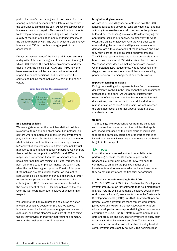part of the bank's risk management processes. The risk sharing is realised by means of a bilateral contract with the bank, based on which the bank will receive compensation in case a loan is not repaid. This means it is instrumental to develop a thorough understanding and assess the quality of the loan origination and monitoring process of the bank we partner with. The way in which the bank takes into account ESG factors is an integral part of that assessment.

During our assessment of the banks origination strategy and quality of the risk management process, we investigate which ESG policies the bank has implemented and how these fit with the policies of PGGM and PFZW, how the bank ensures the policies are being adhered to and impact the bank's decisions, and to what extent the convictions behind these policies are part of the bank's culture.



#### ESG lending policies

We investigate whether the bank has defined policies, relevant to its regions and client base. For instance, on sectors where pollution and impact on the environment play a role we seek for the bank to set clear guidelines on what activities it will not finance or require approval at higher level of seniority and input from sustainability risk managers. In addition, and equally important, we compare these policies to the position of PGGM and PFZW on responsible investment. Examples of sectors where PFZW has a clear position are mining, oil & gas, forestry and palm oil. In the case of project finance, we verify if and when the bank has signed up to the Equator Principles. If the policies are not publicly shared, we request to receive the policies as part of our due diligence, in order to see the scope and depth of the framework. When entering into a CRS transaction, we continue to follow the development of the ESG lending policies of the bank. Over the last years have seen positive changes in this respect.

We look into the bank's approach and course of action in case of sensitive sectors or ESG-related topics. In some cases, banks will pursue engagement instead of exclusion, by setting clear goals as part of the financing facility they provide, in that way motivating the company towards the desired change of behaviour.

#### Integration & governance

As part of our due diligence we establish how the ESG lending policies are governed. Who provides input and has authority to make decisions with respect to the policies followed and the lending decisions. Besides verifying that appropriate policies are applied, we also verify to what extent the bank's employees, who the CRS deal team meets during the various due diligence conversations, demonstrate a true knowledge of these policies and how they form part of the bank's credit approval process. The CRS deal team reviews actual loan proposals to see how the assessment of ESG risks takes place in practice. We assess which decision-making bodies are involved when potential ESG issues arise, who is responsible for flagging, and whether there is sufficient countervailing power between risk management and the business.

#### Impact on lending decisions

During the meeting with representatives from the relevant departments involved in the loan origination and monitoring processes of the bank, we will ask to illustrate with examples of where the bank has had elaborate internal discussions, taken action or in the end decided to not pursue or exit an existing relationship. We ask whether the bank has specific internal targets related to ESG standards or risks.

#### Culture

The meetings with representatives from the bank help us to determine to what extent the policies that apply are indeed embraced by the wider group of individuals that are the day-to-day guardians of it. Part of this is to investigate how employees are made aware on the bank's targets in this respect.

#### 3.b Impact

In addition to a more resilient and potentially better performing portfolio, the CILI team supports the Responsible Investment policy of PFZW. We seek to contribute to enhance the positive impact of the investments and to minimise adverse impact even when they do not directly affect the financial performance.

#### 1. Positive impact: investing in the SDGs

In 2016, PGGM and APG defined Sustainable Development Investments (SDIs) as "investments that yield market-rate financial returns while generating a positive social and/or environmental impact", hence contribute to the Sustainable Development Goals (SDGs). In 2020, AustralianSuper and British Colombia Investment Management Corporation joined APG and PGGM in the [SDI-Asset Owner Platform](https://www.sdi-aop.org/) which developed a taxonomy for defining how corporations contribute to SDGs. The SDI-platform owns and markets different products and services for investors to apply such taxonomy to their investment portfolio. The taxonomy represents a set of decision rules which identify to what extent investments classify as 'SDI'. The decision rules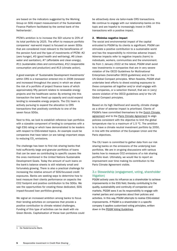are based on the indicators suggested by the Working Group on SDG impact measurement of the Sustainable Finance Platform facilitated by the central bank of the Netherlands<sup>1</sup>.

PFZW's ambition is to increase the SDI volume to 20% of its total portfolio by 2025. The effort to measure portfolio companies' real-world impact is focused on seven SDGs that are considered most relevant to the beneficiaries of the pension fund and the type of investments of PFZW: #2 (zero hunger), #3 (good health and well-being), #6 (clean water and sanitation), #7 (affordable and clean energy), #11 (sustainable cities and communities), #12 (responsible consumption and production) and #13 (climate action).

A good example of 'Sustainable Development Investments' within CRS is a transaction entered into in 2008 (renewed and increased throughout the years) in which we share the risk of a portfolio of project finance loans of which approximately fifty percent relates to renewable energy projects and the healthcare sector. By entering into this transaction the bank freed up capacity and could expand lending to renewable energy projects. The CILI team is actively pursuing to expand the allocation to CRS transactions that positively contribute to one of the seven focus SDGs.

Next to this, we look to establish reference loan portfolios with a sizeable component of lending to companies with a high ESG rating or which have demonstrated to be leaders with respect to ESG-related topics. An example could be companies that have taken (or are taking) important steps to reducing CO<sub>2</sub> emissions.

The challenge has been to find risk sharing banks that hold sufficiently large and granular portfolios of loans that can be seen as contributing to specific causes like the ones mentioned in the United Nations Sustainable Development Goals. Today the amount of such loans on the bank's balance sheets is still relatively small and fortunately growing. There is also a practical challenge for increasing the relative amount of SDG-focussed credit exposures. Banks are seeking ways to determine how to best measure their clients performance on aspects like CO2 footprint and positive contribution to the SDGs. We see the opportunities for creating these dedicated, SDG impact-focused loan portfolios growing.

We signal an increased ambition among banks to focus their lending activities on companies that provide a positive contribution to climate related challenges. Funding of this type of activities can be dealt with via Green Bonds. Capitalisation of these loan portfolios could be attractively done via tailor-made CRS transactions. We continue to engage with our relationship banks on this topic and are hopeful to increasingly invest in CRS transactions with a positive impact.

#### 2. Minimise negative impact

The social and environmental impact of the capital entrusted to PGGM by its clients is significant. PGGM can stimulate a positive contribution to a sustainable world and has the responsibility to minimise adverse impact. Adverse impacts refer to negative impacts (harm) to individuals, workers, communities and the environment. As from 1 January 2022 at the latest, PGGM shall avoid new investments in companies that are in very severe violation of the OECD Guidelines for Multinational Enterprises (hereinafter OECD guidelines) and/or the UN Global Compact principles. When feasible, PGGM shall undertake best efforts to divest existing exposures to these companies all together and/or shall engage with the companies, or a selection thereof, that are in (very) severe violation of the OECD guidelines and/or the UN Global Compact principles.

Based on its high likelihood and severity, climate change as a driver of adverse impact is prioritised. Clients of PGGM's have committed themselves to the [Dutch Climate](https://www.klimaatakkoord.nl/documenten/publicaties/2019/06/28/national-climate-agreement-the-netherlands)  [agreement](https://www.klimaatakkoord.nl/documenten/publicaties/2019/06/28/national-climate-agreement-the-netherlands) and to the [Paris Climate Agreement](https://unfccc.int/sites/default/files/english_paris_agreement.pdf) to align policies consistent with the objective to limit the global temperature rise to a maximum of 1.5 °C. The ambition is to have a climate neutral investment portfolio by 2050, in line with the ambition of the European Union and the Paris objectives.

The CILI team is committed to gather data from our risk sharing banks on the emissions of the underlying loan portfolios. We are in on-going discussions with various banks how to measure CO2 emissions of a risk sharing portfolio level. Ultimately, we would like to report an improvement over time making its contribution to the Paris Climate Agreement visible.

## 3.c Stewardship (engagement, voting, shareholder litigation)

PGGM actively uses its influence as a shareholder to achieve improvements in the ESG field, thereby contributing to the quality, sustainability and continuity of companies and markets. PGGM sees it as its responsibility to engage with market parties and companies about their policies and activities. In this way, PGGM attempts to realise ESG-related improvements. If PGGM is a shareholder in a specific company it applies customised voting principles, written down in the [PGGM Voting Guidelines](https://www.pggm.nl/media/hsdpxnvi/pggm-global-voting-guidelines.pdf).

<sup>1</sup> De Nederlansche Bank.